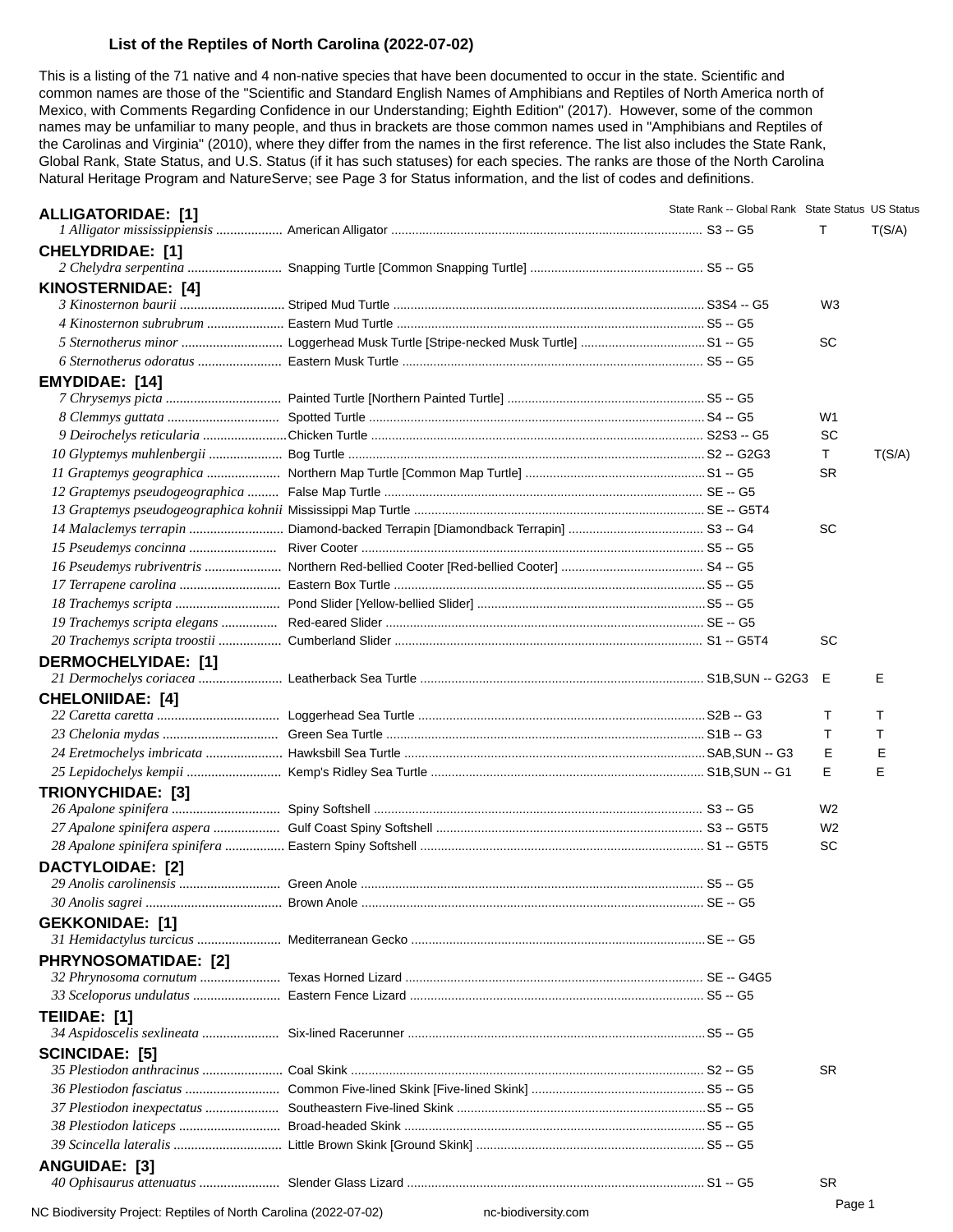## **List of the Reptiles of North Carolina (2022-07-02)**

This is a listing of the 71 native and 4 non-native species that have been documented to occur in the state. Scientific and common names are those of the "Scientific and Standard English Names of Amphibians and Reptiles of North America north of Mexico, with Comments Regarding Confidence in our Understanding; Eighth Edition" (2017). However, some of the common names may be unfamiliar to many people, and thus in brackets are those common names used in "Amphibians and Reptiles of the Carolinas and Virginia" (2010), where they differ from the names in the first reference. The list also includes the State Rank, Global Rank, State Status, and U.S. Status (if it has such statuses) for each species. The ranks are those of the North Carolina Natural Heritage Program and NatureServe; see Page 3 for Status information, and the list of codes and definitions.

| <b>ALLIGATORIDAE: [1]</b>   |  | State Rank -- Global Rank State Status US Status |                |        |
|-----------------------------|--|--------------------------------------------------|----------------|--------|
|                             |  |                                                  | т              | T(S/A) |
| <b>CHELYDRIDAE: [1]</b>     |  |                                                  |                |        |
|                             |  |                                                  |                |        |
| KINOSTERNIDAE: [4]          |  |                                                  |                |        |
|                             |  |                                                  | W <sub>3</sub> |        |
|                             |  |                                                  |                |        |
|                             |  |                                                  | <b>SC</b>      |        |
|                             |  |                                                  |                |        |
| <b>EMYDIDAE: [14]</b>       |  |                                                  |                |        |
|                             |  |                                                  |                |        |
|                             |  |                                                  | W1             |        |
|                             |  |                                                  | SC             |        |
|                             |  |                                                  | $\mathsf T$    | T(S/A) |
|                             |  |                                                  | <b>SR</b>      |        |
|                             |  |                                                  |                |        |
|                             |  |                                                  |                |        |
|                             |  |                                                  | SC             |        |
|                             |  |                                                  |                |        |
|                             |  |                                                  |                |        |
|                             |  |                                                  |                |        |
|                             |  |                                                  |                |        |
|                             |  |                                                  |                |        |
|                             |  |                                                  | <b>SC</b>      |        |
| <b>DERMOCHELYIDAE: [1]</b>  |  |                                                  |                |        |
|                             |  |                                                  | Е              | Е      |
| <b>CHELONIIDAE: [4]</b>     |  |                                                  |                |        |
|                             |  |                                                  | т              | т      |
|                             |  |                                                  | т              | T      |
|                             |  |                                                  | Е              | Е      |
|                             |  |                                                  | E              | E      |
| <b>TRIONYCHIDAE: [3]</b>    |  |                                                  |                |        |
|                             |  |                                                  | W <sub>2</sub> |        |
|                             |  |                                                  | W <sub>2</sub> |        |
|                             |  |                                                  | SC             |        |
| <b>DACTYLOIDAE: [2]</b>     |  |                                                  |                |        |
|                             |  |                                                  |                |        |
|                             |  |                                                  |                |        |
| <b>GEKKONIDAE: [1]</b>      |  |                                                  |                |        |
|                             |  |                                                  |                |        |
| <b>PHRYNOSOMATIDAE: [2]</b> |  |                                                  |                |        |
|                             |  |                                                  |                |        |
|                             |  |                                                  |                |        |
| TEIIDAE: [1]                |  |                                                  |                |        |
|                             |  |                                                  |                |        |
| <b>SCINCIDAE: [5]</b>       |  |                                                  |                |        |
|                             |  |                                                  | <b>SR</b>      |        |
|                             |  |                                                  |                |        |
|                             |  |                                                  |                |        |
|                             |  |                                                  |                |        |
|                             |  |                                                  |                |        |
| ANGUIDAE: [3]               |  |                                                  |                |        |
|                             |  |                                                  | <b>SR</b>      |        |
|                             |  |                                                  |                |        |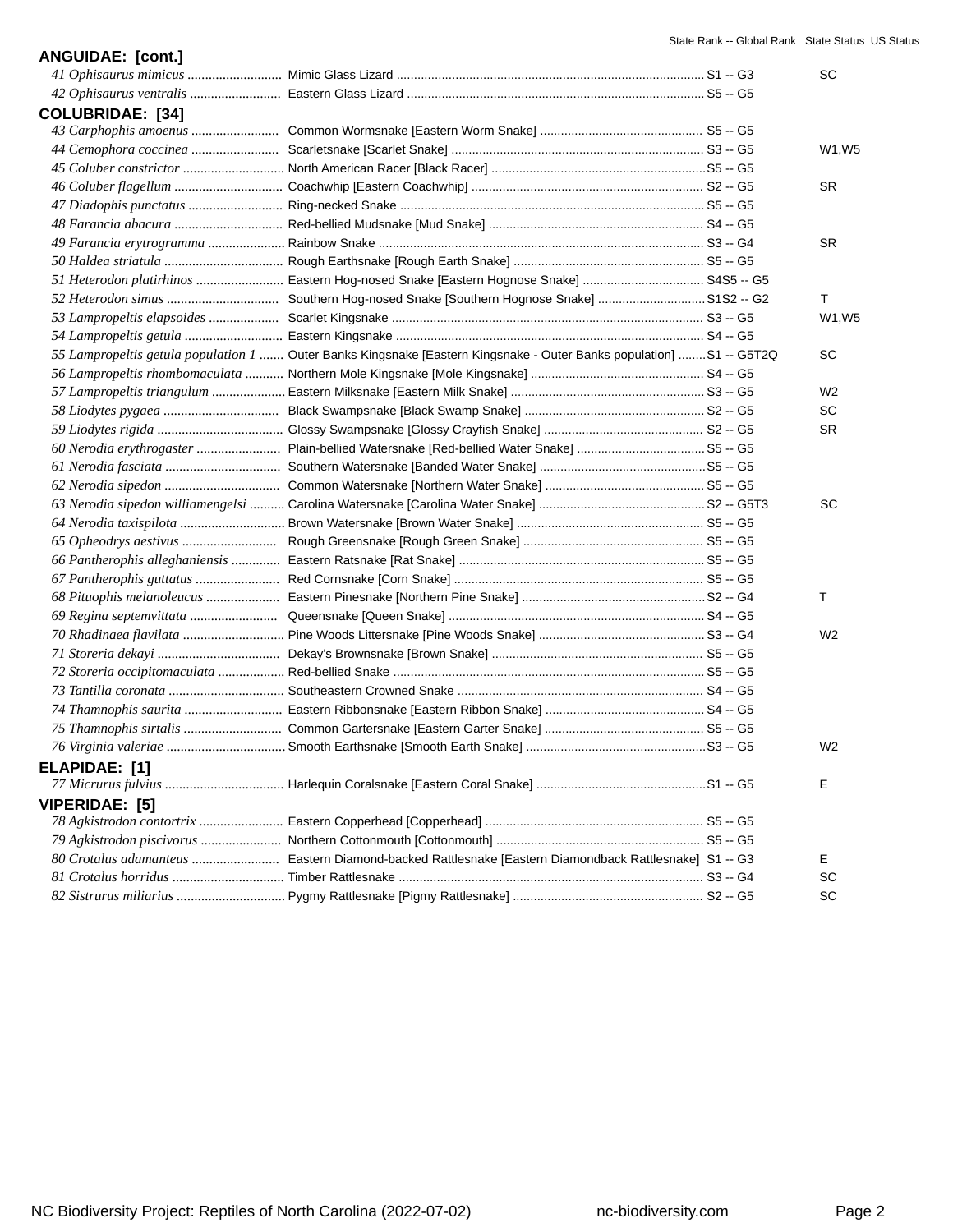| <b>ANGUIDAE: [cont.]</b> |                                                                                                                      |                    |
|--------------------------|----------------------------------------------------------------------------------------------------------------------|--------------------|
|                          |                                                                                                                      | SC                 |
|                          |                                                                                                                      |                    |
| <b>COLUBRIDAE: [34]</b>  |                                                                                                                      |                    |
|                          |                                                                                                                      |                    |
|                          |                                                                                                                      | W1, W <sub>5</sub> |
|                          |                                                                                                                      |                    |
|                          |                                                                                                                      | SR.                |
|                          |                                                                                                                      |                    |
|                          |                                                                                                                      |                    |
|                          |                                                                                                                      | <b>SR</b>          |
|                          |                                                                                                                      |                    |
|                          | 51 Heterodon platirhinos  Eastern Hog-nosed Snake [Eastern Hognose Snake]  S4S5 -- G5                                |                    |
|                          |                                                                                                                      | Τ                  |
|                          |                                                                                                                      | W1, W5             |
|                          |                                                                                                                      |                    |
|                          | 55 Lampropeltis getula population 1  Outer Banks Kingsnake [Eastern Kingsnake - Outer Banks population]  S1 -- G5T2Q | SC                 |
|                          |                                                                                                                      |                    |
|                          |                                                                                                                      | W <sub>2</sub>     |
|                          |                                                                                                                      | SC                 |
|                          |                                                                                                                      | SR.                |
|                          |                                                                                                                      |                    |
|                          |                                                                                                                      |                    |
|                          |                                                                                                                      |                    |
|                          |                                                                                                                      | SC                 |
|                          |                                                                                                                      |                    |
|                          |                                                                                                                      |                    |
|                          |                                                                                                                      |                    |
|                          |                                                                                                                      |                    |
|                          |                                                                                                                      | Τ                  |
|                          |                                                                                                                      |                    |
|                          |                                                                                                                      | W <sub>2</sub>     |
|                          |                                                                                                                      |                    |
|                          |                                                                                                                      |                    |
|                          |                                                                                                                      |                    |
|                          |                                                                                                                      |                    |
|                          |                                                                                                                      |                    |
|                          |                                                                                                                      | W <sub>2</sub>     |
| ELAPIDAE: [1]            |                                                                                                                      |                    |
|                          |                                                                                                                      | Е                  |
| VIPERIDAE: [5]           |                                                                                                                      |                    |
|                          |                                                                                                                      |                    |
|                          |                                                                                                                      |                    |
|                          | 80 Crotalus adamanteus  Eastern Diamond-backed Rattlesnake [Eastern Diamondback Rattlesnake] S1 -- G3                | E.                 |
|                          |                                                                                                                      | SC                 |
|                          |                                                                                                                      | SC                 |
|                          |                                                                                                                      |                    |